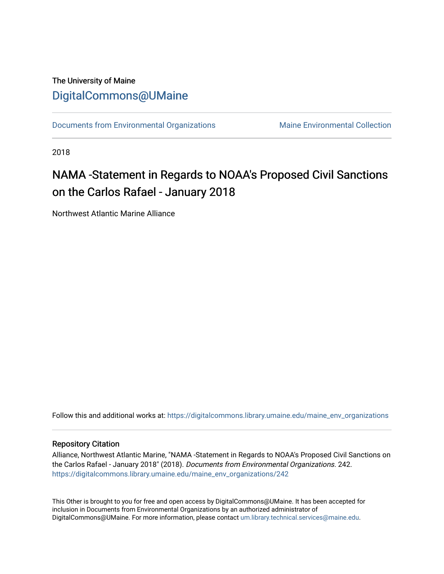# The University of Maine [DigitalCommons@UMaine](https://digitalcommons.library.umaine.edu/)

[Documents from Environmental Organizations](https://digitalcommons.library.umaine.edu/maine_env_organizations) Maine Environmental Collection

2018

# NAMA -Statement in Regards to NOAA's Proposed Civil Sanctions on the Carlos Rafael - January 2018

Northwest Atlantic Marine Alliance

Follow this and additional works at: [https://digitalcommons.library.umaine.edu/maine\\_env\\_organizations](https://digitalcommons.library.umaine.edu/maine_env_organizations?utm_source=digitalcommons.library.umaine.edu%2Fmaine_env_organizations%2F242&utm_medium=PDF&utm_campaign=PDFCoverPages)

## Repository Citation

Alliance, Northwest Atlantic Marine, "NAMA -Statement in Regards to NOAA's Proposed Civil Sanctions on the Carlos Rafael - January 2018" (2018). Documents from Environmental Organizations. 242. [https://digitalcommons.library.umaine.edu/maine\\_env\\_organizations/242](https://digitalcommons.library.umaine.edu/maine_env_organizations/242?utm_source=digitalcommons.library.umaine.edu%2Fmaine_env_organizations%2F242&utm_medium=PDF&utm_campaign=PDFCoverPages)

This Other is brought to you for free and open access by DigitalCommons@UMaine. It has been accepted for inclusion in Documents from Environmental Organizations by an authorized administrator of DigitalCommons@UMaine. For more information, please contact [um.library.technical.services@maine.edu](mailto:um.library.technical.services@maine.edu).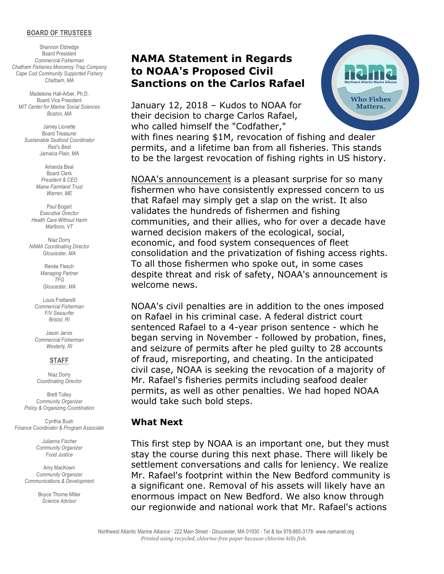#### **BOARD OF TRUSTEES**

Shannon Eldredge Board President *Commercial Fisherman Chatham Fisheries Monomoy Trap Company Cape Cod Community Supported Fishery Chatham, MA*

Madeleine Hall-Arber, Ph.D. Board Vice President *MIT Center for Marine Social Sciences Boston, MA*

Jamey Lionette Board Treasurer *Sustainable Seafood Coordinator Red's Best Jamaica Plain, MA*

> Amanda Beal Board Clerk *President & CEO Maine Farmland Trust Warren, ME*

Paul Bogart *Executive Director Health Care Without Harm Marlboro, VT*

Niaz Dorry *NAMA Coordinating Director Gloucester, MA*

> Renée Flesch *Managing Partner TFG Gloucester, MA*

Louis Frattarelli *Commercial Fisherman F/V Seasurfer Bristol, RI*

Jason Jarvis *Commercial Fisherman Westerly, RI*

### **STAFF**

Niaz Dorry *Coordinating Director*

Brett Tolley *Community Organizer Policy & Organizing Coordination*

Cynthia Bush *Finance Coordinator & Program Associate*

> *Julianna Fischer Community Organizer Food Justice*

Amy MacKown *Community Organizer Communications & Development*

> Boyce Thorne Miller *Science Advisor*

# **NAMA Statement in Regards to NOAA's Proposed Civil Sanctions on the Carlos Rafael**

January 12, 2018 – Kudos to NOAA for their decision to charge Carlos Rafael, who called himself the "Codfather,"



with fines nearing \$1M, revocation of fishing and dealer permits, and a lifetime ban from all fisheries. This stands to be the largest revocation of fishing rights in US history.

NOAA's announcement is a pleasant surprise for so many fishermen who have consistently expressed concern to us that Rafael may simply get a slap on the wrist. It also validates the hundreds of fishermen and fishing communities, and their allies, who for over a decade have warned decision makers of the ecological, social, economic, and food system consequences of fleet consolidation and the privatization of fishing access rights. To all those fishermen who spoke out, in some cases despite threat and risk of safety, NOAA's announcement is welcome news.

NOAA's civil penalties are in addition to the ones imposed on Rafael in his criminal case. A federal district court sentenced Rafael to a 4-year prison sentence - which he began serving in November - followed by probation, fines, and seizure of permits after he pled guilty to 28 accounts of fraud, misreporting, and cheating. In the anticipated civil case, NOAA is seeking the revocation of a majority of Mr. Rafael's fisheries permits including seafood dealer permits, as well as other penalties. We had hoped NOAA would take such bold steps.

## **What Next**

This first step by NOAA is an important one, but they must stay the course during this next phase. There will likely be settlement conversations and calls for leniency. We realize Mr. Rafael's footprint within the New Bedford community is a significant one. Removal of his assets will likely have an enormous impact on New Bedford. We also know through our regionwide and national work that Mr. Rafael's actions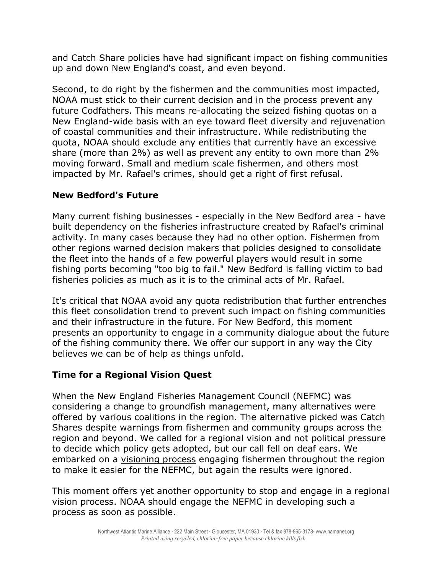and Catch Share policies have had significant impact on fishing communities up and down New England's coast, and even beyond.

Second, to do right by the fishermen and the communities most impacted, NOAA must stick to their current decision and in the process prevent any future Codfathers. This means re-allocating the seized fishing quotas on a New England-wide basis with an eye toward fleet diversity and rejuvenation of coastal communities and their infrastructure. While redistributing the quota, NOAA should exclude any entities that currently have an excessive share (more than 2%) as well as prevent any entity to own more than 2% moving forward. Small and medium scale fishermen, and others most impacted by Mr. Rafael's crimes, should get a right of first refusal.

## **New Bedford's Future**

Many current fishing businesses - especially in the New Bedford area - have built dependency on the fisheries infrastructure created by Rafael's criminal activity. In many cases because they had no other option. Fishermen from other regions warned decision makers that policies designed to consolidate the fleet into the hands of a few powerful players would result in some fishing ports becoming "too big to fail." New Bedford is falling victim to bad fisheries policies as much as it is to the criminal acts of Mr. Rafael.

It's critical that NOAA avoid any quota redistribution that further entrenches this fleet consolidation trend to prevent such impact on fishing communities and their infrastructure in the future. For New Bedford, this moment presents an opportunity to engage in a community dialogue about the future of the fishing community there. We offer our support in any way the City believes we can be of help as things unfold.

## **Time for a Regional Vision Quest**

When the New England Fisheries Management Council (NEFMC) was considering a change to groundfish management, many alternatives were offered by various coalitions in the region. The alternative picked was Catch Shares despite warnings from fishermen and community groups across the region and beyond. We called for a regional vision and not political pressure to decide which policy gets adopted, but our call fell on deaf ears. We embarked on a visioning process engaging fishermen throughout the region to make it easier for the NEFMC, but again the results were ignored.

This moment offers yet another opportunity to stop and engage in a regional vision process. NOAA should engage the NEFMC in developing such a process as soon as possible.